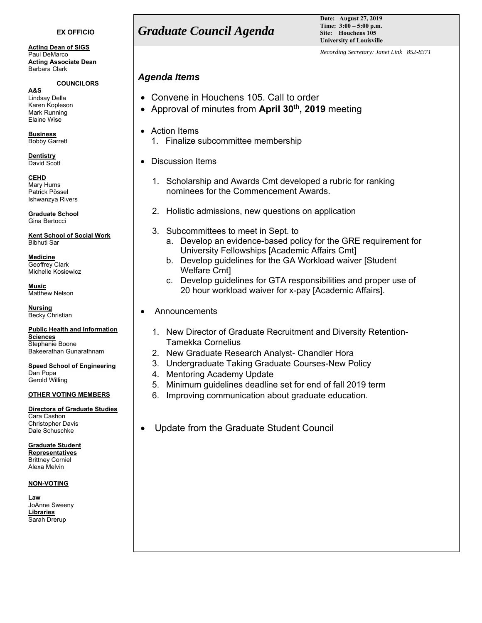#### **EX OFFICIO**

**Acting Dean of SIGS**  Paul DeMarco **Acting Associate Dean** Barbara Clark

#### **COUNCILORS**

**A&S**  Lindsay Della Karen Kopleson Mark Running Elaine Wise

**Business**  Bobby Garrett

**Dentistry**  David Scott

**CEHD**  Mary Hums Patrick Pössel Ishwanzya Rivers

**Graduate School**  Gina Bertocci

**Kent School of Social Work**  Bibhuti Sar

**Medicine**  Geoffrey Clark Michelle Kosiewicz

**Music**  Matthew Nelson

**Nursing**  Becky Christian

**Public Health and Information Sciences** 

Stephanie Boone Bakeerathan Gunarathnam

**Speed School of Engineering**  Dan Popa Gerold Willing

#### **OTHER VOTING MEMBERS**

#### **Directors of Graduate Studies**

Cara Cashon Christopher Davis Dale Schuschke

**Graduate Student Representatives**  Brittney Corniel Alexa Melvin

#### **NON-VOTING**

**Law**  JoAnne Sweeny **Libraries**  Sarah Drerup

# *Graduate Council Agenda*

**Date: August 27, 2019 Time: 3:00 – 5:00 p.m. Site: Houchens 105 University of Louisville**

*Recording Secretary: Janet Link 852-8371*

## *Agenda Items*

- Convene in Houchens 105. Call to order
- Approval of minutes from **April 30th, 2019** meeting
- Action Items
	- 1. Finalize subcommittee membership
- Discussion Items
	- 1. Scholarship and Awards Cmt developed a rubric for ranking nominees for the Commencement Awards.
	- 2. Holistic admissions, new questions on application
	- 3. Subcommittees to meet in Sept. to
		- a. Develop an evidence-based policy for the GRE requirement for University Fellowships [Academic Affairs Cmt]
		- b. Develop guidelines for the GA Workload waiver [Student Welfare Cmt]
		- c. Develop guidelines for GTA responsibilities and proper use of 20 hour workload waiver for x-pay [Academic Affairs].
- Announcements
	- 1. New Director of Graduate Recruitment and Diversity Retention-Tamekka Cornelius
	- 2. New Graduate Research Analyst- Chandler Hora
	- 3. Undergraduate Taking Graduate Courses-New Policy
	- 4. Mentoring Academy Update
	- 5. Minimum guidelines deadline set for end of fall 2019 term
	- 6. Improving communication about graduate education.
- Update from the Graduate Student Council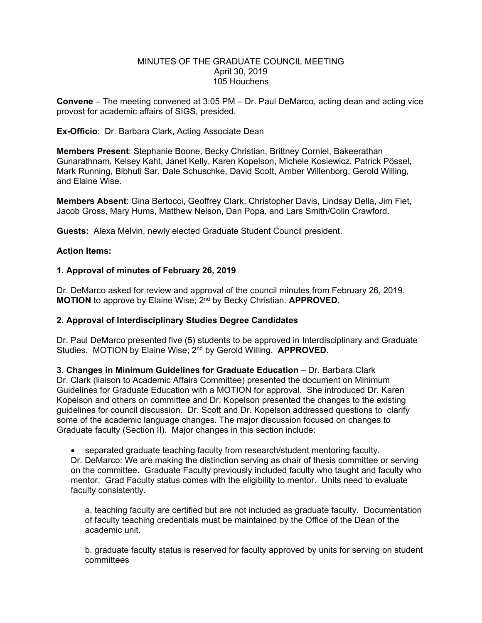### MINUTES OF THE GRADUATE COUNCIL MEETING April 30, 2019 105 Houchens

**Convene** – The meeting convened at 3:05 PM – Dr. Paul DeMarco, acting dean and acting vice provost for academic affairs of SIGS, presided.

**Ex-Officio**: Dr. Barbara Clark, Acting Associate Dean

**Members Present**: Stephanie Boone, Becky Christian, Brittney Corniel, Bakeerathan Gunarathnam, Kelsey Kaht, Janet Kelly, Karen Kopelson, Michele Kosiewicz, Patrick Pössel, Mark Running, Bibhuti Sar, Dale Schuschke, David Scott, Amber Willenborg, Gerold Willing, and Elaine Wise.

**Members Absent**: Gina Bertocci, Geoffrey Clark, Christopher Davis, Lindsay Della, Jim Fiet, Jacob Gross, Mary Hums, Matthew Nelson, Dan Popa, and Lars Smith/Colin Crawford.

**Guests:** Alexa Melvin, newly elected Graduate Student Council president.

## **Action Items:**

## **1. Approval of minutes of February 26, 2019**

Dr. DeMarco asked for review and approval of the council minutes from February 26, 2019. **MOTION** to approve by Elaine Wise; 2nd by Becky Christian. **APPROVED**.

# **2. Approval of Interdisciplinary Studies Degree Candidates**

Dr. Paul DeMarco presented five (5) students to be approved in Interdisciplinary and Graduate Studies. MOTION by Elaine Wise; 2nd by Gerold Willing. **APPROVED**.

**3. Changes in Minimum Guidelines for Graduate Education** – Dr. Barbara Clark Dr. Clark (liaison to Academic Affairs Committee) presented the document on Minimum Guidelines for Graduate Education with a MOTION for approval. She introduced Dr. Karen Kopelson and others on committee and Dr. Kopelson presented the changes to the existing guidelines for council discussion. Dr. Scott and Dr. Kopelson addressed questions to clarify some of the academic language changes. The major discussion focused on changes to Graduate faculty (Section II). Major changes in this section include:

separated graduate teaching faculty from research/student mentoring faculty.

Dr. DeMarco: We are making the distinction serving as chair of thesis committee or serving on the committee. Graduate Faculty previously included faculty who taught and faculty who mentor. Grad Faculty status comes with the eligibility to mentor. Units need to evaluate faculty consistently.

a. teaching faculty are certified but are not included as graduate faculty. Documentation of faculty teaching credentials must be maintained by the Office of the Dean of the academic unit.

b. graduate faculty status is reserved for faculty approved by units for serving on student committees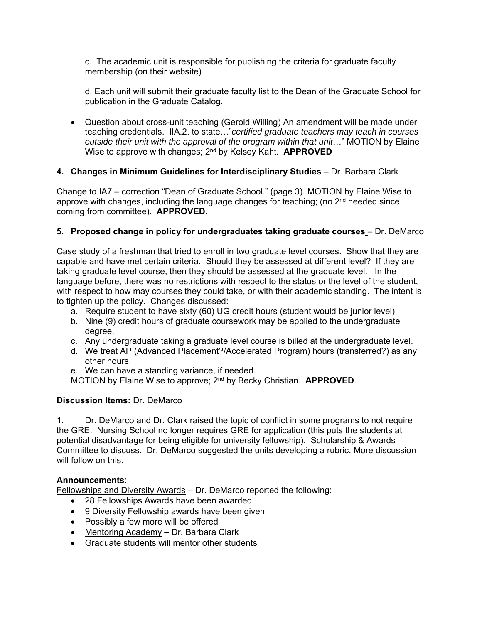c. The academic unit is responsible for publishing the criteria for graduate faculty membership (on their website)

d. Each unit will submit their graduate faculty list to the Dean of the Graduate School for publication in the Graduate Catalog.

 Question about cross-unit teaching (Gerold Willing) An amendment will be made under teaching credentials. IIA.2. to state…"*certified graduate teachers may teach in courses outside their unit with the approval of the program within that unit*…" MOTION by Elaine Wise to approve with changes; 2nd by Kelsey Kaht. **APPROVED**

# **4. Changes in Minimum Guidelines for Interdisciplinary Studies** – Dr. Barbara Clark

Change to IA7 – correction "Dean of Graduate School." (page 3). MOTION by Elaine Wise to approve with changes, including the language changes for teaching; (no  $2<sup>nd</sup>$  needed since coming from committee). **APPROVED**.

# **5. Proposed change in policy for undergraduates taking graduate courses** - Dr. DeMarco

Case study of a freshman that tried to enroll in two graduate level courses. Show that they are capable and have met certain criteria. Should they be assessed at different level? If they are taking graduate level course, then they should be assessed at the graduate level. In the language before, there was no restrictions with respect to the status or the level of the student, with respect to how may courses they could take, or with their academic standing. The intent is to tighten up the policy. Changes discussed:

- a. Require student to have sixty (60) UG credit hours (student would be junior level)
- b. Nine (9) credit hours of graduate coursework may be applied to the undergraduate degree.
- c. Any undergraduate taking a graduate level course is billed at the undergraduate level.
- d. We treat AP (Advanced Placement?/Accelerated Program) hours (transferred?) as any other hours.
- e. We can have a standing variance, if needed.

MOTION by Elaine Wise to approve; 2nd by Becky Christian. **APPROVED**.

# **Discussion Items:** Dr. DeMarco

1. Dr. DeMarco and Dr. Clark raised the topic of conflict in some programs to not require the GRE. Nursing School no longer requires GRE for application (this puts the students at potential disadvantage for being eligible for university fellowship). Scholarship & Awards Committee to discuss. Dr. DeMarco suggested the units developing a rubric. More discussion will follow on this.

# **Announcements**:

Fellowships and Diversity Awards – Dr. DeMarco reported the following:

- 28 Fellowships Awards have been awarded
- 9 Diversity Fellowship awards have been given
- Possibly a few more will be offered
- Mentoring Academy Dr. Barbara Clark
- Graduate students will mentor other students